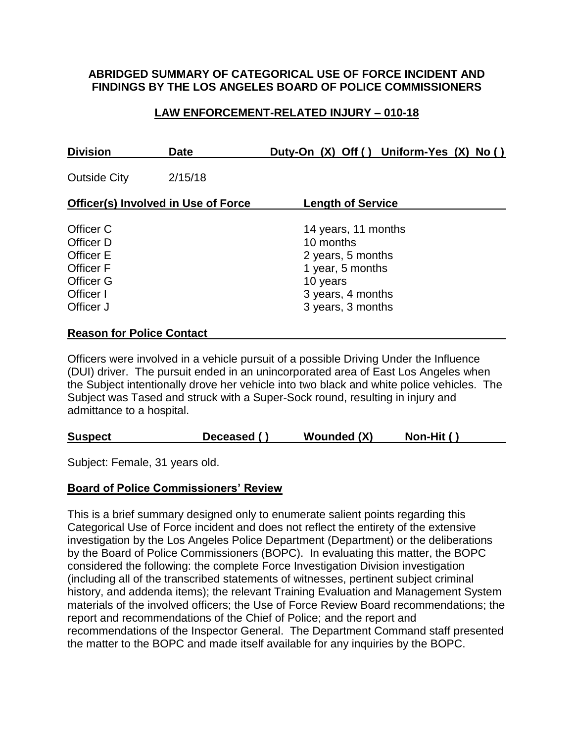#### **ABRIDGED SUMMARY OF CATEGORICAL USE OF FORCE INCIDENT AND FINDINGS BY THE LOS ANGELES BOARD OF POLICE COMMISSIONERS**

### **LAW ENFORCEMENT-RELATED INJURY – 010-18**

| <b>Division</b>                                                                                              | <b>Date</b> | Duty-On (X) Off () Uniform-Yes (X) No ()                                                                                        |  |
|--------------------------------------------------------------------------------------------------------------|-------------|---------------------------------------------------------------------------------------------------------------------------------|--|
| <b>Outside City</b>                                                                                          | 2/15/18     |                                                                                                                                 |  |
| <b>Officer(s) Involved in Use of Force</b>                                                                   |             | <b>Length of Service</b>                                                                                                        |  |
| Officer C<br>Officer D<br><b>Officer E</b><br><b>Officer F</b><br><b>Officer G</b><br>Officer I<br>Officer J |             | 14 years, 11 months<br>10 months<br>2 years, 5 months<br>1 year, 5 months<br>10 years<br>3 years, 4 months<br>3 years, 3 months |  |
| <b>Reason for Police Contact</b>                                                                             |             |                                                                                                                                 |  |

Officers were involved in a vehicle pursuit of a possible Driving Under the Influence (DUI) driver. The pursuit ended in an unincorporated area of East Los Angeles when the Subject intentionally drove her vehicle into two black and white police vehicles. The Subject was Tased and struck with a Super-Sock round, resulting in injury and admittance to a hospital.

| <b>Suspect</b><br>Deceased () | Wounded (X) | Non-Hit () |
|-------------------------------|-------------|------------|
|-------------------------------|-------------|------------|

Subject: Female, 31 years old.

#### **Board of Police Commissioners' Review**

This is a brief summary designed only to enumerate salient points regarding this Categorical Use of Force incident and does not reflect the entirety of the extensive investigation by the Los Angeles Police Department (Department) or the deliberations by the Board of Police Commissioners (BOPC). In evaluating this matter, the BOPC considered the following: the complete Force Investigation Division investigation (including all of the transcribed statements of witnesses, pertinent subject criminal history, and addenda items); the relevant Training Evaluation and Management System materials of the involved officers; the Use of Force Review Board recommendations; the report and recommendations of the Chief of Police; and the report and recommendations of the Inspector General. The Department Command staff presented the matter to the BOPC and made itself available for any inquiries by the BOPC.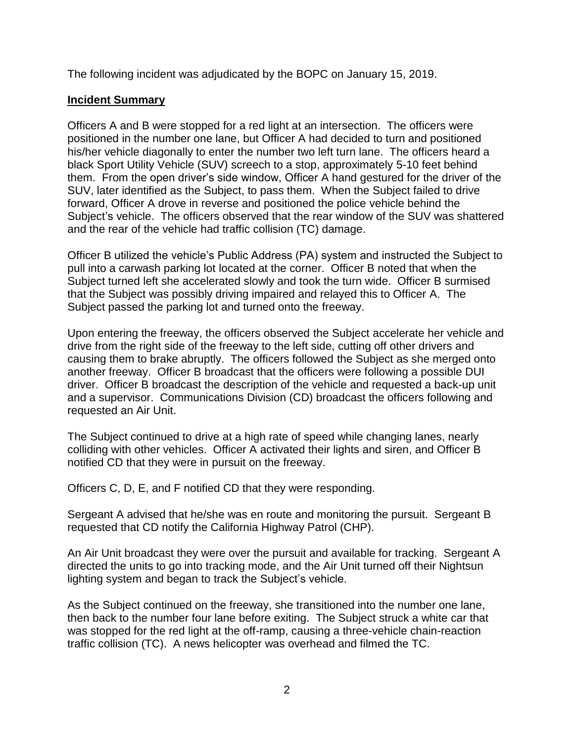The following incident was adjudicated by the BOPC on January 15, 2019.

# **Incident Summary**

Officers A and B were stopped for a red light at an intersection. The officers were positioned in the number one lane, but Officer A had decided to turn and positioned his/her vehicle diagonally to enter the number two left turn lane. The officers heard a black Sport Utility Vehicle (SUV) screech to a stop, approximately 5-10 feet behind them. From the open driver's side window, Officer A hand gestured for the driver of the SUV, later identified as the Subject, to pass them. When the Subject failed to drive forward, Officer A drove in reverse and positioned the police vehicle behind the Subject's vehicle. The officers observed that the rear window of the SUV was shattered and the rear of the vehicle had traffic collision (TC) damage.

Officer B utilized the vehicle's Public Address (PA) system and instructed the Subject to pull into a carwash parking lot located at the corner. Officer B noted that when the Subject turned left she accelerated slowly and took the turn wide. Officer B surmised that the Subject was possibly driving impaired and relayed this to Officer A. The Subject passed the parking lot and turned onto the freeway.

Upon entering the freeway, the officers observed the Subject accelerate her vehicle and drive from the right side of the freeway to the left side, cutting off other drivers and causing them to brake abruptly. The officers followed the Subject as she merged onto another freeway. Officer B broadcast that the officers were following a possible DUI driver. Officer B broadcast the description of the vehicle and requested a back-up unit and a supervisor. Communications Division (CD) broadcast the officers following and requested an Air Unit.

The Subject continued to drive at a high rate of speed while changing lanes, nearly colliding with other vehicles. Officer A activated their lights and siren, and Officer B notified CD that they were in pursuit on the freeway.

Officers C, D, E, and F notified CD that they were responding.

Sergeant A advised that he/she was en route and monitoring the pursuit. Sergeant B requested that CD notify the California Highway Patrol (CHP).

An Air Unit broadcast they were over the pursuit and available for tracking. Sergeant A directed the units to go into tracking mode, and the Air Unit turned off their Nightsun lighting system and began to track the Subject's vehicle.

As the Subject continued on the freeway, she transitioned into the number one lane, then back to the number four lane before exiting. The Subject struck a white car that was stopped for the red light at the off-ramp, causing a three-vehicle chain-reaction traffic collision (TC). A news helicopter was overhead and filmed the TC.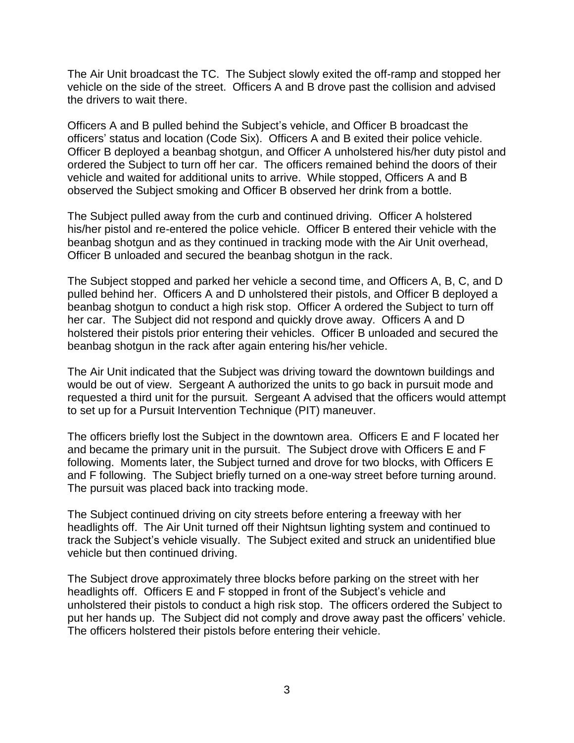The Air Unit broadcast the TC. The Subject slowly exited the off-ramp and stopped her vehicle on the side of the street. Officers A and B drove past the collision and advised the drivers to wait there.

Officers A and B pulled behind the Subject's vehicle, and Officer B broadcast the officers' status and location (Code Six). Officers A and B exited their police vehicle. Officer B deployed a beanbag shotgun, and Officer A unholstered his/her duty pistol and ordered the Subject to turn off her car. The officers remained behind the doors of their vehicle and waited for additional units to arrive. While stopped, Officers A and B observed the Subject smoking and Officer B observed her drink from a bottle.

The Subject pulled away from the curb and continued driving. Officer A holstered his/her pistol and re-entered the police vehicle. Officer B entered their vehicle with the beanbag shotgun and as they continued in tracking mode with the Air Unit overhead, Officer B unloaded and secured the beanbag shotgun in the rack.

The Subject stopped and parked her vehicle a second time, and Officers A, B, C, and D pulled behind her. Officers A and D unholstered their pistols, and Officer B deployed a beanbag shotgun to conduct a high risk stop. Officer A ordered the Subject to turn off her car. The Subject did not respond and quickly drove away. Officers A and D holstered their pistols prior entering their vehicles. Officer B unloaded and secured the beanbag shotgun in the rack after again entering his/her vehicle.

The Air Unit indicated that the Subject was driving toward the downtown buildings and would be out of view. Sergeant A authorized the units to go back in pursuit mode and requested a third unit for the pursuit. Sergeant A advised that the officers would attempt to set up for a Pursuit Intervention Technique (PIT) maneuver.

The officers briefly lost the Subject in the downtown area. Officers E and F located her and became the primary unit in the pursuit. The Subject drove with Officers E and F following. Moments later, the Subject turned and drove for two blocks, with Officers E and F following. The Subject briefly turned on a one-way street before turning around. The pursuit was placed back into tracking mode.

The Subject continued driving on city streets before entering a freeway with her headlights off. The Air Unit turned off their Nightsun lighting system and continued to track the Subject's vehicle visually. The Subject exited and struck an unidentified blue vehicle but then continued driving.

The Subject drove approximately three blocks before parking on the street with her headlights off. Officers E and F stopped in front of the Subject's vehicle and unholstered their pistols to conduct a high risk stop. The officers ordered the Subject to put her hands up. The Subject did not comply and drove away past the officers' vehicle. The officers holstered their pistols before entering their vehicle.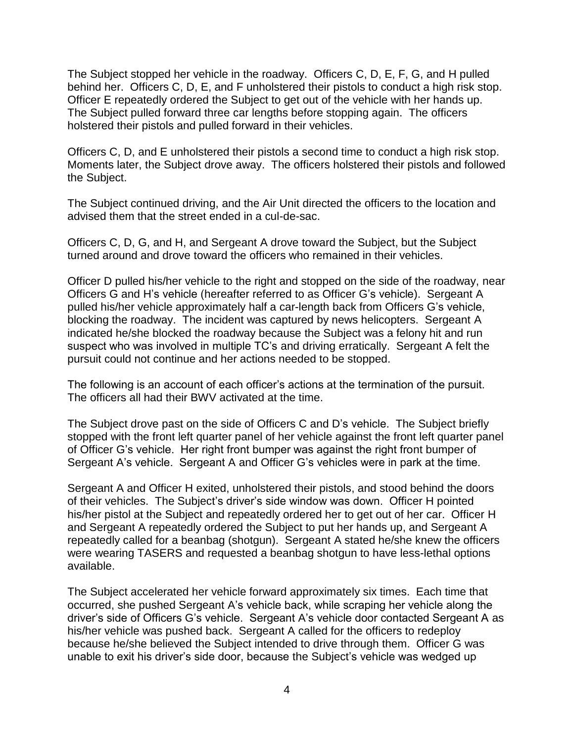The Subject stopped her vehicle in the roadway. Officers C, D, E, F, G, and H pulled behind her. Officers C, D, E, and F unholstered their pistols to conduct a high risk stop. Officer E repeatedly ordered the Subject to get out of the vehicle with her hands up. The Subject pulled forward three car lengths before stopping again. The officers holstered their pistols and pulled forward in their vehicles.

Officers C, D, and E unholstered their pistols a second time to conduct a high risk stop. Moments later, the Subject drove away. The officers holstered their pistols and followed the Subject.

The Subject continued driving, and the Air Unit directed the officers to the location and advised them that the street ended in a cul-de-sac.

Officers C, D, G, and H, and Sergeant A drove toward the Subject, but the Subject turned around and drove toward the officers who remained in their vehicles.

Officer D pulled his/her vehicle to the right and stopped on the side of the roadway, near Officers G and H's vehicle (hereafter referred to as Officer G's vehicle). Sergeant A pulled his/her vehicle approximately half a car-length back from Officers G's vehicle, blocking the roadway. The incident was captured by news helicopters. Sergeant A indicated he/she blocked the roadway because the Subject was a felony hit and run suspect who was involved in multiple TC's and driving erratically. Sergeant A felt the pursuit could not continue and her actions needed to be stopped.

The following is an account of each officer's actions at the termination of the pursuit. The officers all had their BWV activated at the time.

The Subject drove past on the side of Officers C and D's vehicle. The Subject briefly stopped with the front left quarter panel of her vehicle against the front left quarter panel of Officer G's vehicle. Her right front bumper was against the right front bumper of Sergeant A's vehicle. Sergeant A and Officer G's vehicles were in park at the time.

Sergeant A and Officer H exited, unholstered their pistols, and stood behind the doors of their vehicles. The Subject's driver's side window was down. Officer H pointed his/her pistol at the Subject and repeatedly ordered her to get out of her car. Officer H and Sergeant A repeatedly ordered the Subject to put her hands up, and Sergeant A repeatedly called for a beanbag (shotgun). Sergeant A stated he/she knew the officers were wearing TASERS and requested a beanbag shotgun to have less-lethal options available.

The Subject accelerated her vehicle forward approximately six times. Each time that occurred, she pushed Sergeant A's vehicle back, while scraping her vehicle along the driver's side of Officers G's vehicle. Sergeant A's vehicle door contacted Sergeant A as his/her vehicle was pushed back. Sergeant A called for the officers to redeploy because he/she believed the Subject intended to drive through them. Officer G was unable to exit his driver's side door, because the Subject's vehicle was wedged up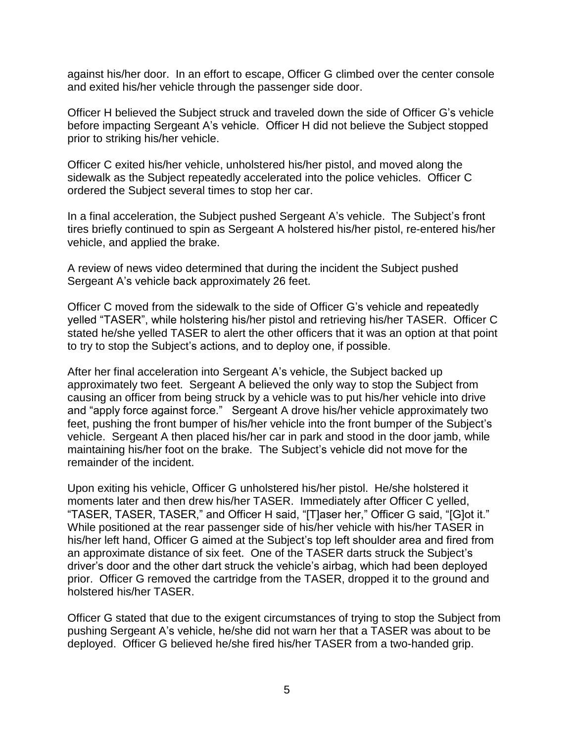against his/her door. In an effort to escape, Officer G climbed over the center console and exited his/her vehicle through the passenger side door.

Officer H believed the Subject struck and traveled down the side of Officer G's vehicle before impacting Sergeant A's vehicle. Officer H did not believe the Subject stopped prior to striking his/her vehicle.

Officer C exited his/her vehicle, unholstered his/her pistol, and moved along the sidewalk as the Subject repeatedly accelerated into the police vehicles. Officer C ordered the Subject several times to stop her car.

In a final acceleration, the Subject pushed Sergeant A's vehicle. The Subject's front tires briefly continued to spin as Sergeant A holstered his/her pistol, re-entered his/her vehicle, and applied the brake.

A review of news video determined that during the incident the Subject pushed Sergeant A's vehicle back approximately 26 feet.

Officer C moved from the sidewalk to the side of Officer G's vehicle and repeatedly yelled "TASER", while holstering his/her pistol and retrieving his/her TASER. Officer C stated he/she yelled TASER to alert the other officers that it was an option at that point to try to stop the Subject's actions, and to deploy one, if possible.

After her final acceleration into Sergeant A's vehicle, the Subject backed up approximately two feet. Sergeant A believed the only way to stop the Subject from causing an officer from being struck by a vehicle was to put his/her vehicle into drive and "apply force against force." Sergeant A drove his/her vehicle approximately two feet, pushing the front bumper of his/her vehicle into the front bumper of the Subject's vehicle. Sergeant A then placed his/her car in park and stood in the door jamb, while maintaining his/her foot on the brake. The Subject's vehicle did not move for the remainder of the incident.

Upon exiting his vehicle, Officer G unholstered his/her pistol. He/she holstered it moments later and then drew his/her TASER. Immediately after Officer C yelled, "TASER, TASER, TASER," and Officer H said, "[T]aser her," Officer G said, "[G]ot it." While positioned at the rear passenger side of his/her vehicle with his/her TASER in his/her left hand, Officer G aimed at the Subject's top left shoulder area and fired from an approximate distance of six feet. One of the TASER darts struck the Subject's driver's door and the other dart struck the vehicle's airbag, which had been deployed prior. Officer G removed the cartridge from the TASER, dropped it to the ground and holstered his/her TASER.

Officer G stated that due to the exigent circumstances of trying to stop the Subject from pushing Sergeant A's vehicle, he/she did not warn her that a TASER was about to be deployed. Officer G believed he/she fired his/her TASER from a two-handed grip.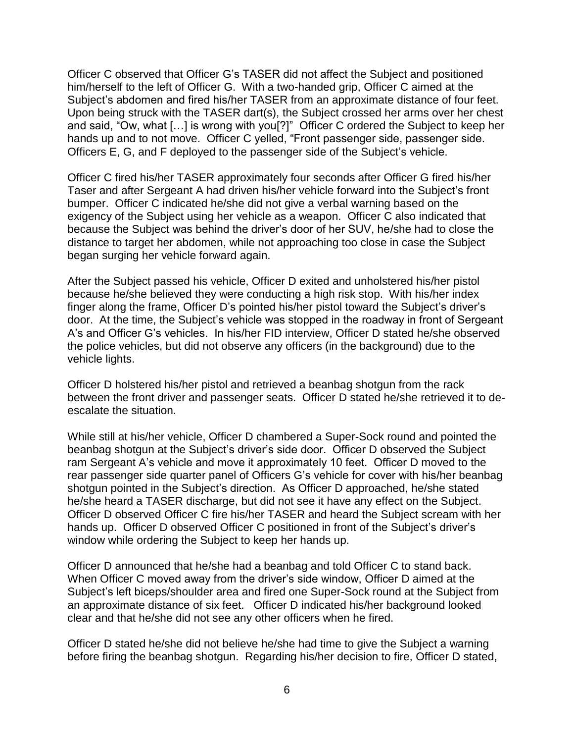Officer C observed that Officer G's TASER did not affect the Subject and positioned him/herself to the left of Officer G. With a two-handed grip, Officer C aimed at the Subject's abdomen and fired his/her TASER from an approximate distance of four feet. Upon being struck with the TASER dart(s), the Subject crossed her arms over her chest and said, "Ow, what […] is wrong with you[?]" Officer C ordered the Subject to keep her hands up and to not move. Officer C yelled, "Front passenger side, passenger side. Officers E, G, and F deployed to the passenger side of the Subject's vehicle.

Officer C fired his/her TASER approximately four seconds after Officer G fired his/her Taser and after Sergeant A had driven his/her vehicle forward into the Subject's front bumper. Officer C indicated he/she did not give a verbal warning based on the exigency of the Subject using her vehicle as a weapon. Officer C also indicated that because the Subject was behind the driver's door of her SUV, he/she had to close the distance to target her abdomen, while not approaching too close in case the Subject began surging her vehicle forward again.

After the Subject passed his vehicle, Officer D exited and unholstered his/her pistol because he/she believed they were conducting a high risk stop. With his/her index finger along the frame, Officer D's pointed his/her pistol toward the Subject's driver's door. At the time, the Subject's vehicle was stopped in the roadway in front of Sergeant A's and Officer G's vehicles. In his/her FID interview, Officer D stated he/she observed the police vehicles, but did not observe any officers (in the background) due to the vehicle lights.

Officer D holstered his/her pistol and retrieved a beanbag shotgun from the rack between the front driver and passenger seats. Officer D stated he/she retrieved it to deescalate the situation.

While still at his/her vehicle, Officer D chambered a Super-Sock round and pointed the beanbag shotgun at the Subject's driver's side door. Officer D observed the Subject ram Sergeant A's vehicle and move it approximately 10 feet. Officer D moved to the rear passenger side quarter panel of Officers G's vehicle for cover with his/her beanbag shotgun pointed in the Subject's direction. As Officer D approached, he/she stated he/she heard a TASER discharge, but did not see it have any effect on the Subject. Officer D observed Officer C fire his/her TASER and heard the Subject scream with her hands up. Officer D observed Officer C positioned in front of the Subject's driver's window while ordering the Subject to keep her hands up.

Officer D announced that he/she had a beanbag and told Officer C to stand back. When Officer C moved away from the driver's side window, Officer D aimed at the Subject's left biceps/shoulder area and fired one Super-Sock round at the Subject from an approximate distance of six feet. Officer D indicated his/her background looked clear and that he/she did not see any other officers when he fired.

Officer D stated he/she did not believe he/she had time to give the Subject a warning before firing the beanbag shotgun. Regarding his/her decision to fire, Officer D stated,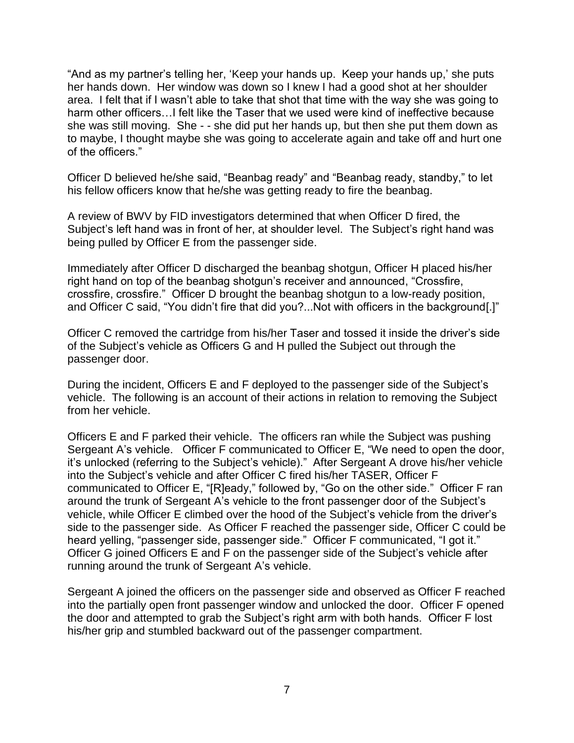"And as my partner's telling her, 'Keep your hands up. Keep your hands up,' she puts her hands down. Her window was down so I knew I had a good shot at her shoulder area. I felt that if I wasn't able to take that shot that time with the way she was going to harm other officers... I felt like the Taser that we used were kind of ineffective because she was still moving. She - - she did put her hands up, but then she put them down as to maybe, I thought maybe she was going to accelerate again and take off and hurt one of the officers."

Officer D believed he/she said, "Beanbag ready" and "Beanbag ready, standby," to let his fellow officers know that he/she was getting ready to fire the beanbag.

A review of BWV by FID investigators determined that when Officer D fired, the Subject's left hand was in front of her, at shoulder level. The Subject's right hand was being pulled by Officer E from the passenger side.

Immediately after Officer D discharged the beanbag shotgun, Officer H placed his/her right hand on top of the beanbag shotgun's receiver and announced, "Crossfire, crossfire, crossfire." Officer D brought the beanbag shotgun to a low-ready position, and Officer C said, "You didn't fire that did you?...Not with officers in the background[.]"

Officer C removed the cartridge from his/her Taser and tossed it inside the driver's side of the Subject's vehicle as Officers G and H pulled the Subject out through the passenger door.

During the incident, Officers E and F deployed to the passenger side of the Subject's vehicle. The following is an account of their actions in relation to removing the Subject from her vehicle.

Officers E and F parked their vehicle. The officers ran while the Subject was pushing Sergeant A's vehicle. Officer F communicated to Officer E, "We need to open the door, it's unlocked (referring to the Subject's vehicle)." After Sergeant A drove his/her vehicle into the Subject's vehicle and after Officer C fired his/her TASER, Officer F communicated to Officer E, "[R]eady," followed by, "Go on the other side." Officer F ran around the trunk of Sergeant A's vehicle to the front passenger door of the Subject's vehicle, while Officer E climbed over the hood of the Subject's vehicle from the driver's side to the passenger side. As Officer F reached the passenger side, Officer C could be heard yelling, "passenger side, passenger side." Officer F communicated, "I got it." Officer G joined Officers E and F on the passenger side of the Subject's vehicle after running around the trunk of Sergeant A's vehicle.

Sergeant A joined the officers on the passenger side and observed as Officer F reached into the partially open front passenger window and unlocked the door. Officer F opened the door and attempted to grab the Subject's right arm with both hands. Officer F lost his/her grip and stumbled backward out of the passenger compartment.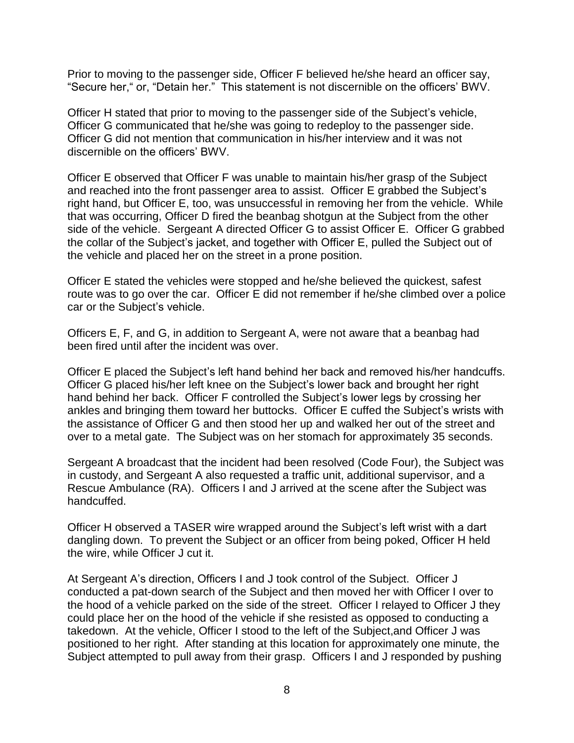Prior to moving to the passenger side, Officer F believed he/she heard an officer say, "Secure her," or, "Detain her." This statement is not discernible on the officers' BWV.

Officer H stated that prior to moving to the passenger side of the Subject's vehicle, Officer G communicated that he/she was going to redeploy to the passenger side. Officer G did not mention that communication in his/her interview and it was not discernible on the officers' BWV.

Officer E observed that Officer F was unable to maintain his/her grasp of the Subject and reached into the front passenger area to assist. Officer E grabbed the Subject's right hand, but Officer E, too, was unsuccessful in removing her from the vehicle. While that was occurring, Officer D fired the beanbag shotgun at the Subject from the other side of the vehicle. Sergeant A directed Officer G to assist Officer E. Officer G grabbed the collar of the Subject's jacket, and together with Officer E, pulled the Subject out of the vehicle and placed her on the street in a prone position.

Officer E stated the vehicles were stopped and he/she believed the quickest, safest route was to go over the car. Officer E did not remember if he/she climbed over a police car or the Subject's vehicle.

Officers E, F, and G, in addition to Sergeant A, were not aware that a beanbag had been fired until after the incident was over.

Officer E placed the Subject's left hand behind her back and removed his/her handcuffs. Officer G placed his/her left knee on the Subject's lower back and brought her right hand behind her back. Officer F controlled the Subject's lower legs by crossing her ankles and bringing them toward her buttocks. Officer E cuffed the Subject's wrists with the assistance of Officer G and then stood her up and walked her out of the street and over to a metal gate. The Subject was on her stomach for approximately 35 seconds.

Sergeant A broadcast that the incident had been resolved (Code Four), the Subject was in custody, and Sergeant A also requested a traffic unit, additional supervisor, and a Rescue Ambulance (RA). Officers I and J arrived at the scene after the Subject was handcuffed.

Officer H observed a TASER wire wrapped around the Subject's left wrist with a dart dangling down. To prevent the Subject or an officer from being poked, Officer H held the wire, while Officer J cut it.

At Sergeant A's direction, Officers I and J took control of the Subject. Officer J conducted a pat-down search of the Subject and then moved her with Officer I over to the hood of a vehicle parked on the side of the street. Officer I relayed to Officer J they could place her on the hood of the vehicle if she resisted as opposed to conducting a takedown. At the vehicle, Officer I stood to the left of the Subject,and Officer J was positioned to her right. After standing at this location for approximately one minute, the Subject attempted to pull away from their grasp. Officers I and J responded by pushing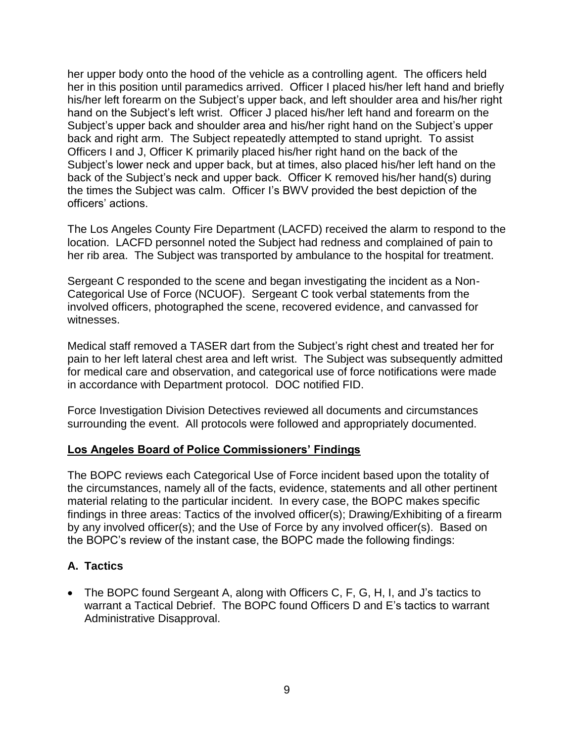her upper body onto the hood of the vehicle as a controlling agent. The officers held her in this position until paramedics arrived. Officer I placed his/her left hand and briefly his/her left forearm on the Subject's upper back, and left shoulder area and his/her right hand on the Subject's left wrist. Officer J placed his/her left hand and forearm on the Subject's upper back and shoulder area and his/her right hand on the Subject's upper back and right arm. The Subject repeatedly attempted to stand upright. To assist Officers I and J, Officer K primarily placed his/her right hand on the back of the Subject's lower neck and upper back, but at times, also placed his/her left hand on the back of the Subject's neck and upper back. Officer K removed his/her hand(s) during the times the Subject was calm. Officer I's BWV provided the best depiction of the officers' actions.

The Los Angeles County Fire Department (LACFD) received the alarm to respond to the location. LACFD personnel noted the Subject had redness and complained of pain to her rib area. The Subject was transported by ambulance to the hospital for treatment.

Sergeant C responded to the scene and began investigating the incident as a Non-Categorical Use of Force (NCUOF). Sergeant C took verbal statements from the involved officers, photographed the scene, recovered evidence, and canvassed for witnesses.

Medical staff removed a TASER dart from the Subject's right chest and treated her for pain to her left lateral chest area and left wrist. The Subject was subsequently admitted for medical care and observation, and categorical use of force notifications were made in accordance with Department protocol. DOC notified FID.

Force Investigation Division Detectives reviewed all documents and circumstances surrounding the event. All protocols were followed and appropriately documented.

#### **Los Angeles Board of Police Commissioners' Findings**

The BOPC reviews each Categorical Use of Force incident based upon the totality of the circumstances, namely all of the facts, evidence, statements and all other pertinent material relating to the particular incident. In every case, the BOPC makes specific findings in three areas: Tactics of the involved officer(s); Drawing/Exhibiting of a firearm by any involved officer(s); and the Use of Force by any involved officer(s). Based on the BOPC's review of the instant case, the BOPC made the following findings:

# **A. Tactics**

• The BOPC found Sergeant A, along with Officers C, F, G, H, I, and J's tactics to warrant a Tactical Debrief. The BOPC found Officers D and E's tactics to warrant Administrative Disapproval.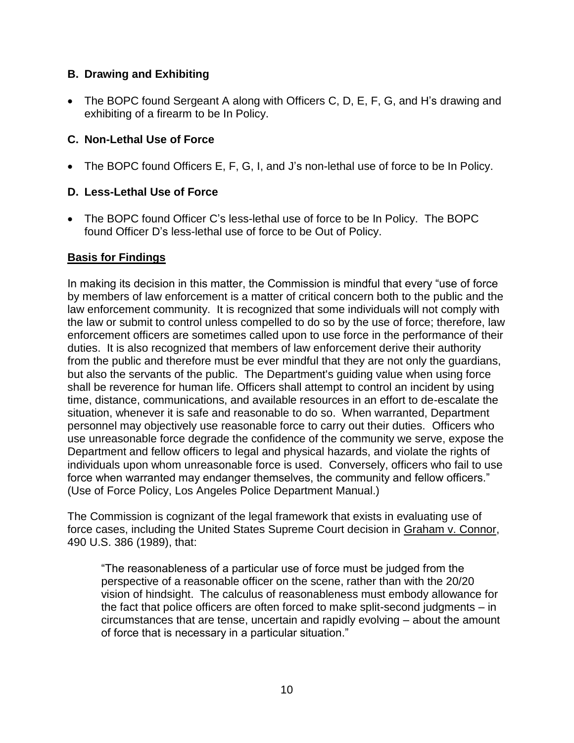# **B. Drawing and Exhibiting**

• The BOPC found Sergeant A along with Officers C, D, E, F, G, and H's drawing and exhibiting of a firearm to be In Policy.

# **C. Non-Lethal Use of Force**

• The BOPC found Officers E, F, G, I, and J's non-lethal use of force to be In Policy.

### **D. Less-Lethal Use of Force**

• The BOPC found Officer C's less-lethal use of force to be In Policy. The BOPC found Officer D's less-lethal use of force to be Out of Policy.

### **Basis for Findings**

In making its decision in this matter, the Commission is mindful that every "use of force by members of law enforcement is a matter of critical concern both to the public and the law enforcement community. It is recognized that some individuals will not comply with the law or submit to control unless compelled to do so by the use of force; therefore, law enforcement officers are sometimes called upon to use force in the performance of their duties. It is also recognized that members of law enforcement derive their authority from the public and therefore must be ever mindful that they are not only the guardians, but also the servants of the public. The Department's guiding value when using force shall be reverence for human life. Officers shall attempt to control an incident by using time, distance, communications, and available resources in an effort to de-escalate the situation, whenever it is safe and reasonable to do so. When warranted, Department personnel may objectively use reasonable force to carry out their duties. Officers who use unreasonable force degrade the confidence of the community we serve, expose the Department and fellow officers to legal and physical hazards, and violate the rights of individuals upon whom unreasonable force is used. Conversely, officers who fail to use force when warranted may endanger themselves, the community and fellow officers." (Use of Force Policy, Los Angeles Police Department Manual.)

The Commission is cognizant of the legal framework that exists in evaluating use of force cases, including the United States Supreme Court decision in Graham v. Connor, 490 U.S. 386 (1989), that:

"The reasonableness of a particular use of force must be judged from the perspective of a reasonable officer on the scene, rather than with the 20/20 vision of hindsight. The calculus of reasonableness must embody allowance for the fact that police officers are often forced to make split-second judgments – in circumstances that are tense, uncertain and rapidly evolving – about the amount of force that is necessary in a particular situation."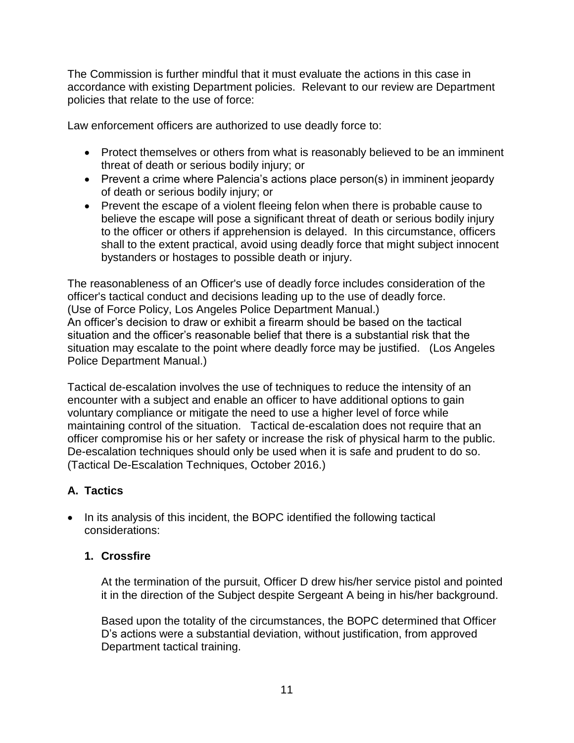The Commission is further mindful that it must evaluate the actions in this case in accordance with existing Department policies. Relevant to our review are Department policies that relate to the use of force:

Law enforcement officers are authorized to use deadly force to:

- Protect themselves or others from what is reasonably believed to be an imminent threat of death or serious bodily injury; or
- Prevent a crime where Palencia's actions place person(s) in imminent jeopardy of death or serious bodily injury; or
- Prevent the escape of a violent fleeing felon when there is probable cause to believe the escape will pose a significant threat of death or serious bodily injury to the officer or others if apprehension is delayed. In this circumstance, officers shall to the extent practical, avoid using deadly force that might subject innocent bystanders or hostages to possible death or injury.

The reasonableness of an Officer's use of deadly force includes consideration of the officer's tactical conduct and decisions leading up to the use of deadly force. (Use of Force Policy, Los Angeles Police Department Manual.) An officer's decision to draw or exhibit a firearm should be based on the tactical situation and the officer's reasonable belief that there is a substantial risk that the situation may escalate to the point where deadly force may be justified. (Los Angeles Police Department Manual.)

Tactical de-escalation involves the use of techniques to reduce the intensity of an encounter with a subject and enable an officer to have additional options to gain voluntary compliance or mitigate the need to use a higher level of force while maintaining control of the situation. Tactical de-escalation does not require that an officer compromise his or her safety or increase the risk of physical harm to the public. De-escalation techniques should only be used when it is safe and prudent to do so. (Tactical De-Escalation Techniques, October 2016.)

# **A. Tactics**

• In its analysis of this incident, the BOPC identified the following tactical considerations:

# **1. Crossfire**

At the termination of the pursuit, Officer D drew his/her service pistol and pointed it in the direction of the Subject despite Sergeant A being in his/her background.

Based upon the totality of the circumstances, the BOPC determined that Officer D's actions were a substantial deviation, without justification, from approved Department tactical training.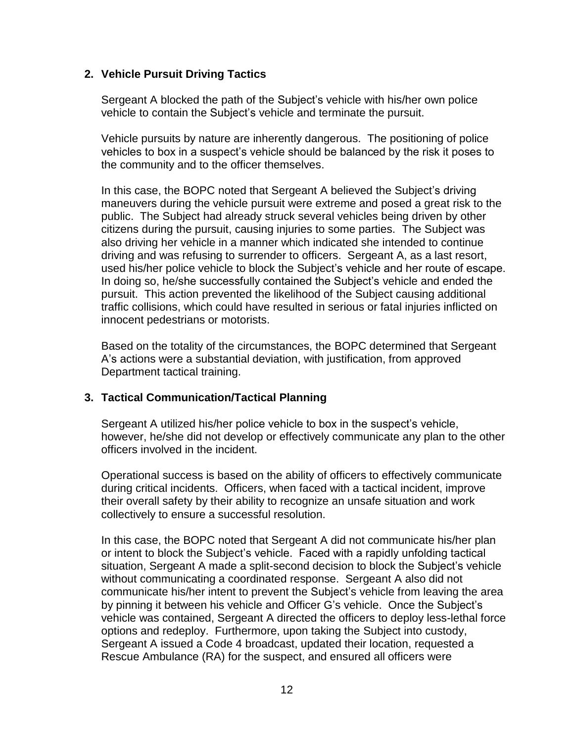### **2. Vehicle Pursuit Driving Tactics**

Sergeant A blocked the path of the Subject's vehicle with his/her own police vehicle to contain the Subject's vehicle and terminate the pursuit.

Vehicle pursuits by nature are inherently dangerous. The positioning of police vehicles to box in a suspect's vehicle should be balanced by the risk it poses to the community and to the officer themselves.

In this case, the BOPC noted that Sergeant A believed the Subject's driving maneuvers during the vehicle pursuit were extreme and posed a great risk to the public. The Subject had already struck several vehicles being driven by other citizens during the pursuit, causing injuries to some parties. The Subject was also driving her vehicle in a manner which indicated she intended to continue driving and was refusing to surrender to officers. Sergeant A, as a last resort, used his/her police vehicle to block the Subject's vehicle and her route of escape. In doing so, he/she successfully contained the Subject's vehicle and ended the pursuit. This action prevented the likelihood of the Subject causing additional traffic collisions, which could have resulted in serious or fatal injuries inflicted on innocent pedestrians or motorists.

Based on the totality of the circumstances, the BOPC determined that Sergeant A's actions were a substantial deviation, with justification, from approved Department tactical training.

#### **3. Tactical Communication/Tactical Planning**

Sergeant A utilized his/her police vehicle to box in the suspect's vehicle, however, he/she did not develop or effectively communicate any plan to the other officers involved in the incident.

Operational success is based on the ability of officers to effectively communicate during critical incidents. Officers, when faced with a tactical incident, improve their overall safety by their ability to recognize an unsafe situation and work collectively to ensure a successful resolution.

In this case, the BOPC noted that Sergeant A did not communicate his/her plan or intent to block the Subject's vehicle. Faced with a rapidly unfolding tactical situation, Sergeant A made a split-second decision to block the Subject's vehicle without communicating a coordinated response. Sergeant A also did not communicate his/her intent to prevent the Subject's vehicle from leaving the area by pinning it between his vehicle and Officer G's vehicle. Once the Subject's vehicle was contained, Sergeant A directed the officers to deploy less-lethal force options and redeploy. Furthermore, upon taking the Subject into custody, Sergeant A issued a Code 4 broadcast, updated their location, requested a Rescue Ambulance (RA) for the suspect, and ensured all officers were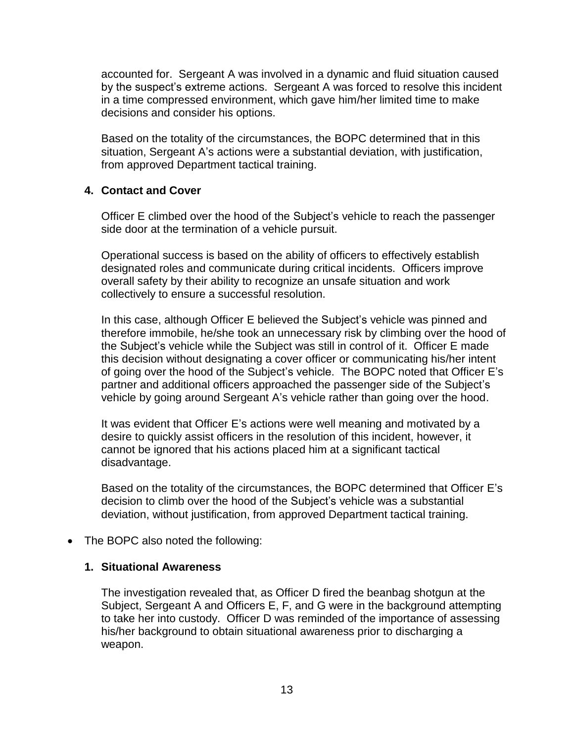accounted for. Sergeant A was involved in a dynamic and fluid situation caused by the suspect's extreme actions. Sergeant A was forced to resolve this incident in a time compressed environment, which gave him/her limited time to make decisions and consider his options.

Based on the totality of the circumstances, the BOPC determined that in this situation, Sergeant A's actions were a substantial deviation, with justification, from approved Department tactical training.

#### **4. Contact and Cover**

Officer E climbed over the hood of the Subject's vehicle to reach the passenger side door at the termination of a vehicle pursuit.

Operational success is based on the ability of officers to effectively establish designated roles and communicate during critical incidents. Officers improve overall safety by their ability to recognize an unsafe situation and work collectively to ensure a successful resolution.

In this case, although Officer E believed the Subject's vehicle was pinned and therefore immobile, he/she took an unnecessary risk by climbing over the hood of the Subject's vehicle while the Subject was still in control of it. Officer E made this decision without designating a cover officer or communicating his/her intent of going over the hood of the Subject's vehicle. The BOPC noted that Officer E's partner and additional officers approached the passenger side of the Subject's vehicle by going around Sergeant A's vehicle rather than going over the hood.

It was evident that Officer E's actions were well meaning and motivated by a desire to quickly assist officers in the resolution of this incident, however, it cannot be ignored that his actions placed him at a significant tactical disadvantage.

Based on the totality of the circumstances, the BOPC determined that Officer E's decision to climb over the hood of the Subject's vehicle was a substantial deviation, without justification, from approved Department tactical training.

• The BOPC also noted the following:

#### **1. Situational Awareness**

The investigation revealed that, as Officer D fired the beanbag shotgun at the Subject, Sergeant A and Officers E, F, and G were in the background attempting to take her into custody. Officer D was reminded of the importance of assessing his/her background to obtain situational awareness prior to discharging a weapon.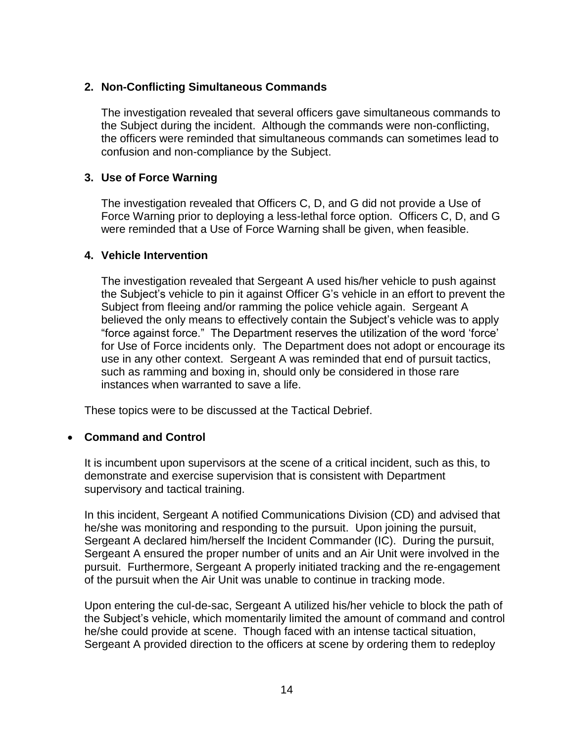### **2. Non-Conflicting Simultaneous Commands**

The investigation revealed that several officers gave simultaneous commands to the Subject during the incident. Although the commands were non-conflicting, the officers were reminded that simultaneous commands can sometimes lead to confusion and non-compliance by the Subject.

### **3. Use of Force Warning**

The investigation revealed that Officers C, D, and G did not provide a Use of Force Warning prior to deploying a less-lethal force option. Officers C, D, and G were reminded that a Use of Force Warning shall be given, when feasible.

#### **4. Vehicle Intervention**

The investigation revealed that Sergeant A used his/her vehicle to push against the Subject's vehicle to pin it against Officer G's vehicle in an effort to prevent the Subject from fleeing and/or ramming the police vehicle again. Sergeant A believed the only means to effectively contain the Subject's vehicle was to apply "force against force." The Department reserves the utilization of the word 'force' for Use of Force incidents only. The Department does not adopt or encourage its use in any other context. Sergeant A was reminded that end of pursuit tactics, such as ramming and boxing in, should only be considered in those rare instances when warranted to save a life.

These topics were to be discussed at the Tactical Debrief.

#### • **Command and Control**

It is incumbent upon supervisors at the scene of a critical incident, such as this, to demonstrate and exercise supervision that is consistent with Department supervisory and tactical training.

In this incident, Sergeant A notified Communications Division (CD) and advised that he/she was monitoring and responding to the pursuit. Upon joining the pursuit, Sergeant A declared him/herself the Incident Commander (IC). During the pursuit, Sergeant A ensured the proper number of units and an Air Unit were involved in the pursuit. Furthermore, Sergeant A properly initiated tracking and the re-engagement of the pursuit when the Air Unit was unable to continue in tracking mode.

Upon entering the cul-de-sac, Sergeant A utilized his/her vehicle to block the path of the Subject's vehicle, which momentarily limited the amount of command and control he/she could provide at scene. Though faced with an intense tactical situation, Sergeant A provided direction to the officers at scene by ordering them to redeploy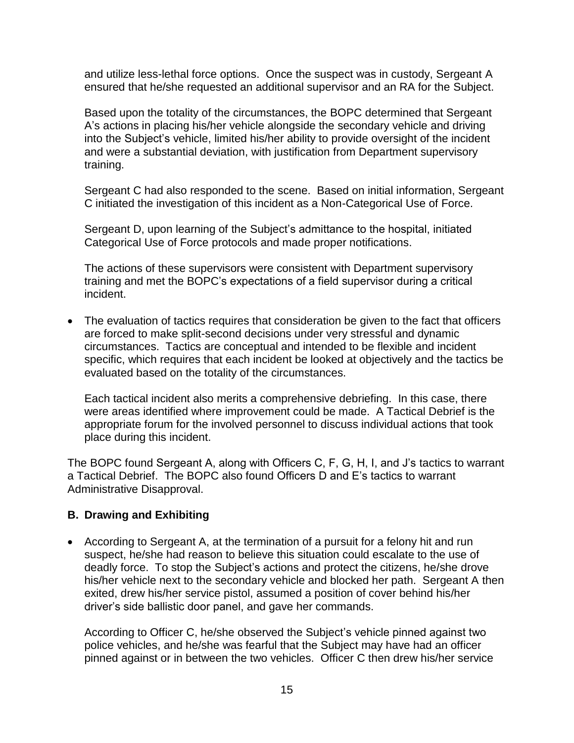and utilize less-lethal force options. Once the suspect was in custody, Sergeant A ensured that he/she requested an additional supervisor and an RA for the Subject.

Based upon the totality of the circumstances, the BOPC determined that Sergeant A's actions in placing his/her vehicle alongside the secondary vehicle and driving into the Subject's vehicle, limited his/her ability to provide oversight of the incident and were a substantial deviation, with justification from Department supervisory training.

Sergeant C had also responded to the scene. Based on initial information, Sergeant C initiated the investigation of this incident as a Non-Categorical Use of Force.

Sergeant D, upon learning of the Subject's admittance to the hospital, initiated Categorical Use of Force protocols and made proper notifications.

The actions of these supervisors were consistent with Department supervisory training and met the BOPC's expectations of a field supervisor during a critical incident.

• The evaluation of tactics requires that consideration be given to the fact that officers are forced to make split-second decisions under very stressful and dynamic circumstances. Tactics are conceptual and intended to be flexible and incident specific, which requires that each incident be looked at objectively and the tactics be evaluated based on the totality of the circumstances.

Each tactical incident also merits a comprehensive debriefing. In this case, there were areas identified where improvement could be made. A Tactical Debrief is the appropriate forum for the involved personnel to discuss individual actions that took place during this incident.

The BOPC found Sergeant A, along with Officers C, F, G, H, I, and J's tactics to warrant a Tactical Debrief. The BOPC also found Officers D and E's tactics to warrant Administrative Disapproval.

# **B. Drawing and Exhibiting**

• According to Sergeant A, at the termination of a pursuit for a felony hit and run suspect, he/she had reason to believe this situation could escalate to the use of deadly force. To stop the Subject's actions and protect the citizens, he/she drove his/her vehicle next to the secondary vehicle and blocked her path. Sergeant A then exited, drew his/her service pistol, assumed a position of cover behind his/her driver's side ballistic door panel, and gave her commands.

According to Officer C, he/she observed the Subject's vehicle pinned against two police vehicles, and he/she was fearful that the Subject may have had an officer pinned against or in between the two vehicles. Officer C then drew his/her service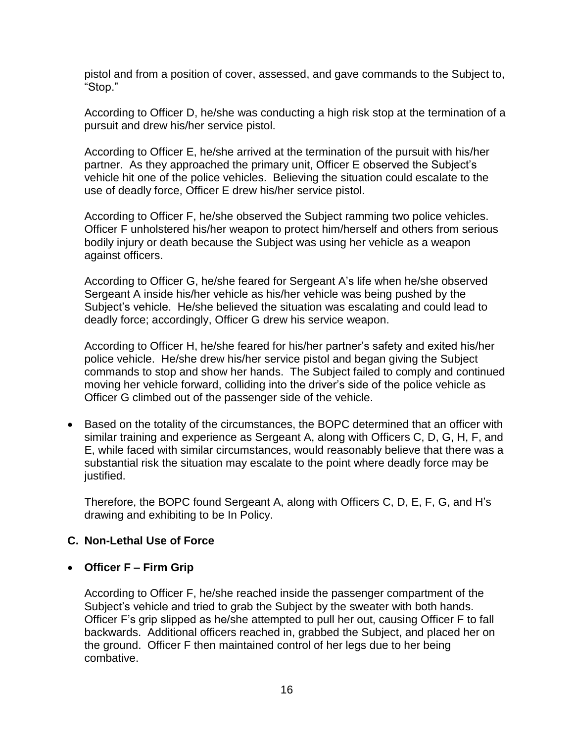pistol and from a position of cover, assessed, and gave commands to the Subject to, "Stop."

According to Officer D, he/she was conducting a high risk stop at the termination of a pursuit and drew his/her service pistol.

According to Officer E, he/she arrived at the termination of the pursuit with his/her partner. As they approached the primary unit, Officer E observed the Subject's vehicle hit one of the police vehicles. Believing the situation could escalate to the use of deadly force, Officer E drew his/her service pistol.

According to Officer F, he/she observed the Subject ramming two police vehicles. Officer F unholstered his/her weapon to protect him/herself and others from serious bodily injury or death because the Subject was using her vehicle as a weapon against officers.

According to Officer G, he/she feared for Sergeant A's life when he/she observed Sergeant A inside his/her vehicle as his/her vehicle was being pushed by the Subject's vehicle. He/she believed the situation was escalating and could lead to deadly force; accordingly, Officer G drew his service weapon.

According to Officer H, he/she feared for his/her partner's safety and exited his/her police vehicle. He/she drew his/her service pistol and began giving the Subject commands to stop and show her hands. The Subject failed to comply and continued moving her vehicle forward, colliding into the driver's side of the police vehicle as Officer G climbed out of the passenger side of the vehicle.

• Based on the totality of the circumstances, the BOPC determined that an officer with similar training and experience as Sergeant A, along with Officers C, D, G, H, F, and E, while faced with similar circumstances, would reasonably believe that there was a substantial risk the situation may escalate to the point where deadly force may be justified.

Therefore, the BOPC found Sergeant A, along with Officers C, D, E, F, G, and H's drawing and exhibiting to be In Policy.

#### **C. Non-Lethal Use of Force**

#### • **Officer F – Firm Grip**

According to Officer F, he/she reached inside the passenger compartment of the Subject's vehicle and tried to grab the Subject by the sweater with both hands. Officer F's grip slipped as he/she attempted to pull her out, causing Officer F to fall backwards. Additional officers reached in, grabbed the Subject, and placed her on the ground. Officer F then maintained control of her legs due to her being combative.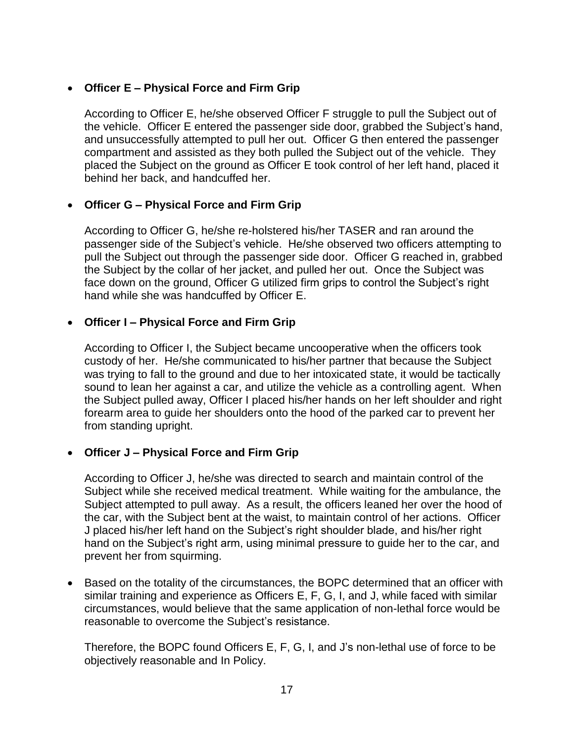# • **Officer E – Physical Force and Firm Grip**

According to Officer E, he/she observed Officer F struggle to pull the Subject out of the vehicle. Officer E entered the passenger side door, grabbed the Subject's hand, and unsuccessfully attempted to pull her out. Officer G then entered the passenger compartment and assisted as they both pulled the Subject out of the vehicle. They placed the Subject on the ground as Officer E took control of her left hand, placed it behind her back, and handcuffed her.

# • **Officer G – Physical Force and Firm Grip**

According to Officer G, he/she re-holstered his/her TASER and ran around the passenger side of the Subject's vehicle. He/she observed two officers attempting to pull the Subject out through the passenger side door. Officer G reached in, grabbed the Subject by the collar of her jacket, and pulled her out. Once the Subject was face down on the ground, Officer G utilized firm grips to control the Subject's right hand while she was handcuffed by Officer E.

# • **Officer I – Physical Force and Firm Grip**

According to Officer I, the Subject became uncooperative when the officers took custody of her. He/she communicated to his/her partner that because the Subject was trying to fall to the ground and due to her intoxicated state, it would be tactically sound to lean her against a car, and utilize the vehicle as a controlling agent. When the Subject pulled away, Officer I placed his/her hands on her left shoulder and right forearm area to guide her shoulders onto the hood of the parked car to prevent her from standing upright.

# • **Officer J – Physical Force and Firm Grip**

According to Officer J, he/she was directed to search and maintain control of the Subject while she received medical treatment. While waiting for the ambulance, the Subject attempted to pull away. As a result, the officers leaned her over the hood of the car, with the Subject bent at the waist, to maintain control of her actions. Officer J placed his/her left hand on the Subject's right shoulder blade, and his/her right hand on the Subject's right arm, using minimal pressure to guide her to the car, and prevent her from squirming.

• Based on the totality of the circumstances, the BOPC determined that an officer with similar training and experience as Officers E, F, G, I, and J, while faced with similar circumstances, would believe that the same application of non-lethal force would be reasonable to overcome the Subject's resistance.

Therefore, the BOPC found Officers E, F, G, I, and J's non-lethal use of force to be objectively reasonable and In Policy.